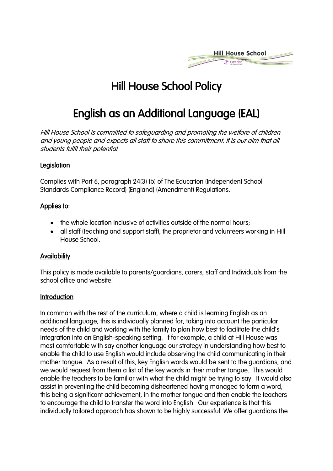

# Hill House School Policy

# English as an Additional Language (EAL)

Hill House School is committed to safeguarding and promoting the welfare of children and young people and expects all staff to share this commitment. It is our aim that all students fulfil their potential.

## **Legislation**

Complies with Part 6, paragraph 24(3) (b) of The Education (Independent School Standards Compliance Record) (England) (Amendment) Regulations.

#### Applies to:

- the whole location inclusive of activities outside of the normal hours;
- all staff (teaching and support staff), the proprietor and volunteers working in Hill House School.

#### **Availability**

This policy is made available to parents/guardians, carers, staff and Individuals from the school office and website.

## **Introduction**

In common with the rest of the curriculum, where a child is learning English as an additional language, this is individually planned for, taking into account the particular needs of the child and working with the family to plan how best to facilitate the child's integration into an English-speaking setting. If for example, a child at Hill House was most comfortable with say another language our strategy in understanding how best to enable the child to use English would include observing the child communicating in their mother tongue. As a result of this, key English words would be sent to the guardians, and we would request from them a list of the key words in their mother tongue. This would enable the teachers to be familiar with what the child might be trying to say. It would also assist in preventing the child becoming disheartened having managed to form a word, this being a significant achievement, in the mother tongue and then enable the teachers to encourage the child to transfer the word into English. Our experience is that this individually tailored approach has shown to be highly successful. We offer guardians the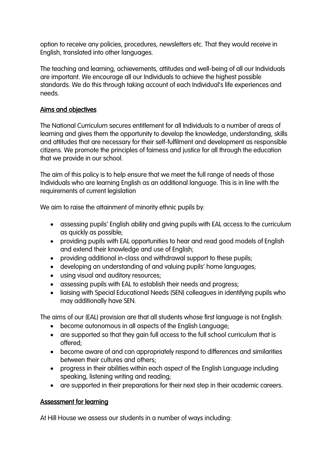option to receive any policies, procedures, newsletters etc. That they would receive in English, translated into other languages.

The teaching and learning, achievements, attitudes and well-being of all our Individuals are important. We encourage all our Individuals to achieve the highest possible standards. We do this through taking account of each Individual's life experiences and needs.

## Aims and objectives

The National Curriculum secures entitlement for all Individuals to a number of areas of learning and gives them the opportunity to develop the knowledge, understanding, skills and attitudes that are necessary for their self-fulfilment and development as responsible citizens. We promote the principles of fairness and justice for all through the education that we provide in our school.

The aim of this policy is to help ensure that we meet the full range of needs of those Individuals who are learning English as an additional language. This is in line with the requirements of current legislation

We aim to raise the attainment of minority ethnic pupils by:

- assessing pupils' English ability and giving pupils with EAL access to the curriculum as quickly as possible;
- providing pupils with EAL opportunities to hear and read good models of English and extend their knowledge and use of English;
- providing additional in-class and withdrawal support to these pupils;
- developing an understanding of and valuing pupils' home languages;
- using visual and auditory resources;
- assessing pupils with EAL to establish their needs and progress;
- liaising with Special Educational Needs (SEN) colleagues in identifying pupils who may additionally have SEN.

The aims of our (EAL) provision are that all students whose first language is not English:

- become autonomous in all aspects of the English Language;
- are supported so that they gain full access to the full school curriculum that is offered;
- become aware of and can appropriately respond to differences and similarities between their cultures and others;
- progress in their abilities within each aspect of the English Language including speaking, listening writing and reading;
- are supported in their preparations for their next step in their academic careers.

## Assessment for learning

At Hill House we assess our students in a number of ways including: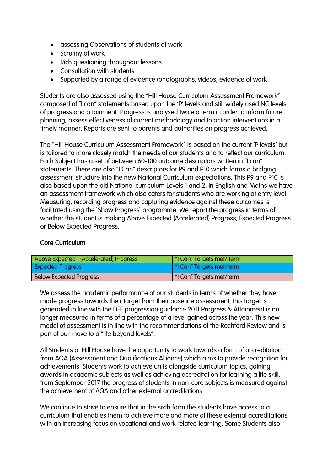- assessing Observations of students at work
- Scrutiny of work
- Rich questioning throughout lessons
- Consultation with students
- Supported by a range of evidence (photographs, videos, evidence of work

Students are also assessed using the "Hill House Curriculum Assessment Framework" composed of "I can" statements based upon the 'P' levels and still widely used NC levels of progress and attainment. Progress is analysed twice a term in order to inform future planning, assess effectiveness of current methodology and to action interventions in a timely manner. Reports are sent to parents and authorities on progress achieved.

The "Hill House Curriculum Assessment Framework" is based on the current 'P levels' but is tailored to more closely match the needs of our students and to reflect our curriculum. Each Subject has a set of between 60-100 outcome descriptors written in "I can" statements. There are also "I Can" descriptors for P9 and P10 which forms a bridging assessment structure into the new National Curriculum expectations. This P9 and P10 is also based upon the old National curriculum Levels 1 and 2. In English and Maths we have an assessment framework which also caters for students who are working at entry level. Measuring, recording progress and capturing evidence against these outcomes is facilitated using the `Show Progress` programme. We report the progress in terms of whether the student is making Above Expected (Accelerated) Progress, Expected Progress or Below Expected Progress.

## Core Curriculum

| Above Expected (Accelerated) Progress | "I Can" Targets met/ term |
|---------------------------------------|---------------------------|
| <b>Expected Progress</b>              | "I Can" Targets met/term  |
| <b>Below Expected Progress</b>        | "I Can" Targets met/term  |

We assess the academic performance of our students in terms of whether they have made progress towards their target from their baseline assessment, this target is generated in line with the DFE progression guidance 2011 Progress & Attainment is no longer measured in terms of a percentage of a level gained across the year. This new model of assessment is in line with the recommendations of the Rochford Review and is part of our move to a "life beyond levels".

All Students at Hill House have the opportunity to work towards a form of accreditation from AQA (Assessment and Qualifications Alliance) which aims to provide recognition for achievements. Students work to achieve units alongside curriculum topics, gaining awards in academic subjects as well as achieving accreditation for learning a life skill, from September 2017 the progress of students in non-core subjects is measured against the achievement of AQA and other external accreditations.

We continue to strive to ensure that in the sixth form the students have access to a curriculum that enables them to achieve more and more of these external accreditations with an increasing focus on vocational and work related learning. Some Students also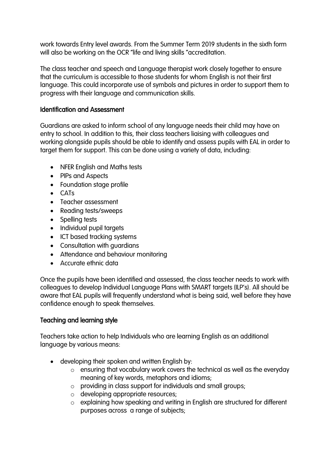work towards Entry level awards. From the Summer Term 2019 students in the sixth form will also be working on the OCR "life and living skills "accreditation.

The class teacher and speech and Language therapist work closely together to ensure that the curriculum is accessible to those students for whom English is not their first language. This could incorporate use of symbols and pictures in order to support them to progress with their language and communication skills.

#### Identification and Assessment

Guardians are asked to inform school of any language needs their child may have on entry to school. In addition to this, their class teachers liaising with colleagues and working alongside pupils should be able to identify and assess pupils with EAL in order to target them for support. This can be done using a variety of data, including:

- NFER English and Maths tests
- PIPs and Aspects
- Foundation stage profile
- CATs
- Teacher assessment
- Reading tests/sweeps
- Spelling tests
- Individual pupil targets
- ICT based tracking systems
- Consultation with guardians
- Attendance and behaviour monitoring
- Accurate ethnic data

Once the pupils have been identified and assessed, the class teacher needs to work with colleagues to develop Individual Language Plans with SMART targets (ILP's). All should be aware that EAL pupils will frequently understand what is being said, well before they have confidence enough to speak themselves.

## Teaching and learning style

Teachers take action to help Individuals who are learning English as an additional language by various means:

- developing their spoken and written English by:
	- o ensuring that vocabulary work covers the technical as well as the everyday meaning of key words, metaphors and idioms;
	- o providing in class support for individuals and small groups;
	- o developing appropriate resources;
	- o explaining how speaking and writing in English are structured for different purposes across a range of subjects;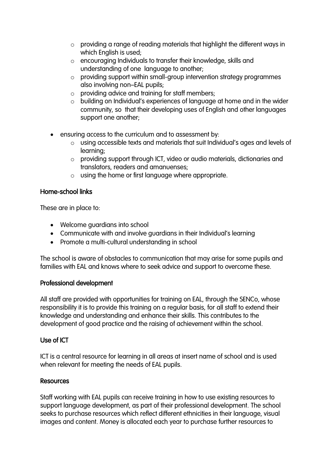- o providing a range of reading materials that highlight the different ways in which English is used;
- o encouraging Individuals to transfer their knowledge, skills and understanding of one language to another;
- o providing support within small-group intervention strategy programmes also involving non–EAL pupils;
- o providing advice and training for staff members;
- o building on Individual's experiences of language at home and in the wider community, so that their developing uses of English and other languages support one another;
- ensuring access to the curriculum and to assessment by:
	- o using accessible texts and materials that suit Individual's ages and levels of learning;
	- o providing support through ICT, video or audio materials, dictionaries and translators, readers and amanuenses;
	- o using the home or first language where appropriate.

## Home-school links

These are in place to:

- Welcome guardians into school
- Communicate with and involve guardians in their Individual's learning
- Promote a multi-cultural understanding in school

The school is aware of obstacles to communication that may arise for some pupils and families with EAL and knows where to seek advice and support to overcome these.

## Professional development

All staff are provided with opportunities for training on EAL, through the SENCo, whose responsibility it is to provide this training on a regular basis, for all staff to extend their knowledge and understanding and enhance their skills. This contributes to the development of good practice and the raising of achievement within the school.

## Use of ICT

ICT is a central resource for learning in all areas at insert name of school and is used when relevant for meeting the needs of EAL pupils.

## **Resources**

Staff working with EAL pupils can receive training in how to use existing resources to support language development, as part of their professional development. The school seeks to purchase resources which reflect different ethnicities in their language, visual images and content. Money is allocated each year to purchase further resources to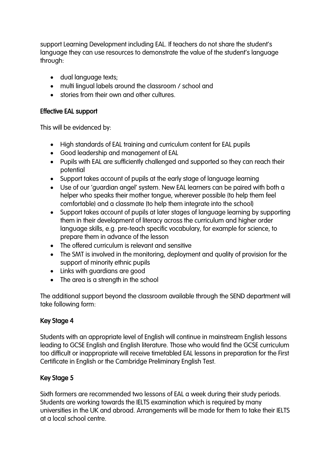support Learning Development including EAL. If teachers do not share the student's language they can use resources to demonstrate the value of the student's language through:

- dual language texts;
- multi lingual labels around the classroom / school and
- stories from their own and other cultures.

## Effective EAL support

This will be evidenced by:

- High standards of EAL training and curriculum content for EAL pupils
- Good leadership and management of EAL
- Pupils with EAL are sufficiently challenged and supported so they can reach their potential
- Support takes account of pupils at the early stage of language learning
- Use of our 'guardian angel' system. New EAL learners can be paired with both a helper who speaks their mother tongue, wherever possible (to help them feel comfortable) and a classmate (to help them integrate into the school)
- Support takes account of pupils at later stages of language learning by supporting them in their development of literacy across the curriculum and higher order language skills, e.g. pre-teach specific vocabulary, for example for science, to prepare them in advance of the lesson
- The offered curriculum is relevant and sensitive
- The SMT is involved in the monitoring, deployment and quality of provision for the support of minority ethnic pupils
- Links with guardians are good
- The area is a strength in the school

The additional support beyond the classroom available through the SEND department will take following form:

## Key Stage 4

Students with an appropriate level of English will continue in mainstream English lessons leading to GCSE English and English literature. Those who would find the GCSE curriculum too difficult or inappropriate will receive timetabled EAL lessons in preparation for the First Certificate in English or the Cambridge Preliminary English Test.

## Key Stage 5

Sixth formers are recommended two lessons of EAL a week during their study periods. Students are working towards the IELTS examination which is required by many universities in the UK and abroad. Arrangements will be made for them to take their IELTS at a local school centre.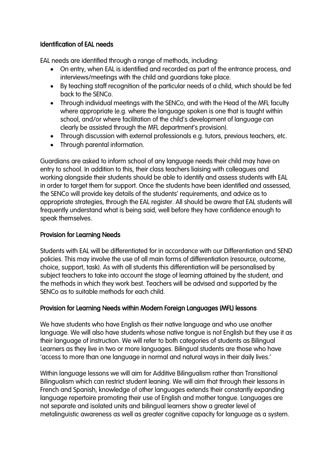## Identification of EAL needs

EAL needs are identified through a range of methods, including:

- On entry, when EAL is identified and recorded as part of the entrance process, and interviews/meetings with the child and guardians take place.
- By teaching staff recognition of the particular needs of a child, which should be fed back to the SENCo.
- Through individual meetings with the SENCo, and with the Head of the MFL faculty where appropriate (e.g. where the language spoken is one that is taught within school, and/or where facilitation of the child's development of language can clearly be assisted through the MFL department's provision).
- Through discussion with external professionals e.g. tutors, previous teachers, etc.
- Through parental information.

Guardians are asked to inform school of any language needs their child may have on entry to school. In addition to this, their class teachers liaising with colleagues and working alongside their students should be able to identify and assess students with EAL in order to target them for support. Once the students have been identified and assessed, the SENCo will provide key details of the students' requirements, and advice as to appropriate strategies, through the EAL register. All should be aware that EAL students will frequently understand what is being said, well before they have confidence enough to speak themselves.

## Provision for Learning Needs

Students with EAL will be differentiated for in accordance with our Differentiation and SEND policies. This may involve the use of all main forms of differentiation (resource, outcome, choice, support, task). As with all students this differentiation will be personalised by subject teachers to take into account the stage of learning attained by the student, and the methods in which they work best. Teachers will be advised and supported by the SENCo as to suitable methods for each child.

## Provision for Learning Needs within Modern Foreign Languages (MFL) lessons

We have students who have English as their native language and who use another language. We will also have students whose native tongue is not English but they use it as their language of instruction. We will refer to both categories of students as Bilingual Learners as they live in two or more languages. Bilingual students are those who have 'access to more than one language in normal and natural ways in their daily lives.'

Within language lessons we will aim for Additive Bilingualism rather than Transitional Bilingualism which can restrict student leaning. We will aim that through their lessons in French and Spanish, knowledge of other languages extends their constantly expanding language repertoire promoting their use of English and mother tongue. Languages are not separate and isolated units and bilingual learners show a greater level of metalinguistic awareness as well as greater cognitive capacity for language as a system.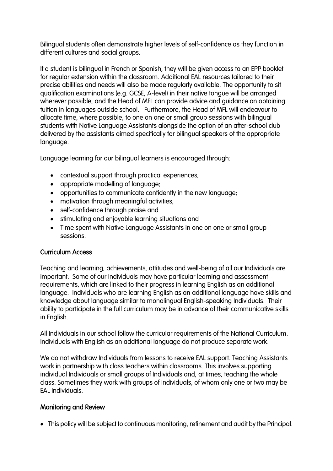Bilingual students often demonstrate higher levels of self-confidence as they function in different cultures and social groups.

If a student is bilingual in French or Spanish, they will be given access to an EPP booklet for regular extension within the classroom. Additional EAL resources tailored to their precise abilities and needs will also be made regularly available. The opportunity to sit qualification examinations (e.g. GCSE, A-level) in their native tongue will be arranged wherever possible, and the Head of MFL can provide advice and guidance on obtaining tuition in languages outside school. Furthermore, the Head of MFL will endeavour to allocate time, where possible, to one on one or small group sessions with bilingual students with Native Language Assistants alongside the option of an after-school club delivered by the assistants aimed specifically for bilingual speakers of the appropriate language.

Language learning for our bilingual learners is encouraged through:

- contextual support through practical experiences;
- appropriate modelling of language;
- opportunities to communicate confidently in the new language;
- motivation through meaningful activities;
- self-confidence through praise and
- stimulating and enjoyable learning situations and
- Time spent with Native Language Assistants in one on one or small group sessions.

## Curriculum Access

Teaching and learning, achievements, attitudes and well-being of all our Individuals are important. Some of our Individuals may have particular learning and assessment requirements, which are linked to their progress in learning English as an additional language. Individuals who are learning English as an additional language have skills and knowledge about language similar to monolingual English-speaking Individuals. Their ability to participate in the full curriculum may be in advance of their communicative skills in English.

All Individuals in our school follow the curricular requirements of the National Curriculum. Individuals with English as an additional language do not produce separate work.

We do not withdraw Individuals from lessons to receive EAL support. Teaching Assistants work in partnership with class teachers within classrooms. This involves supporting individual Individuals or small groups of Individuals and, at times, teaching the whole class. Sometimes they work with groups of Individuals, of whom only one or two may be EAL Individuals.

## Monitoring and Review

• This policy will be subject to continuous monitoring, refinement and audit by the Principal.